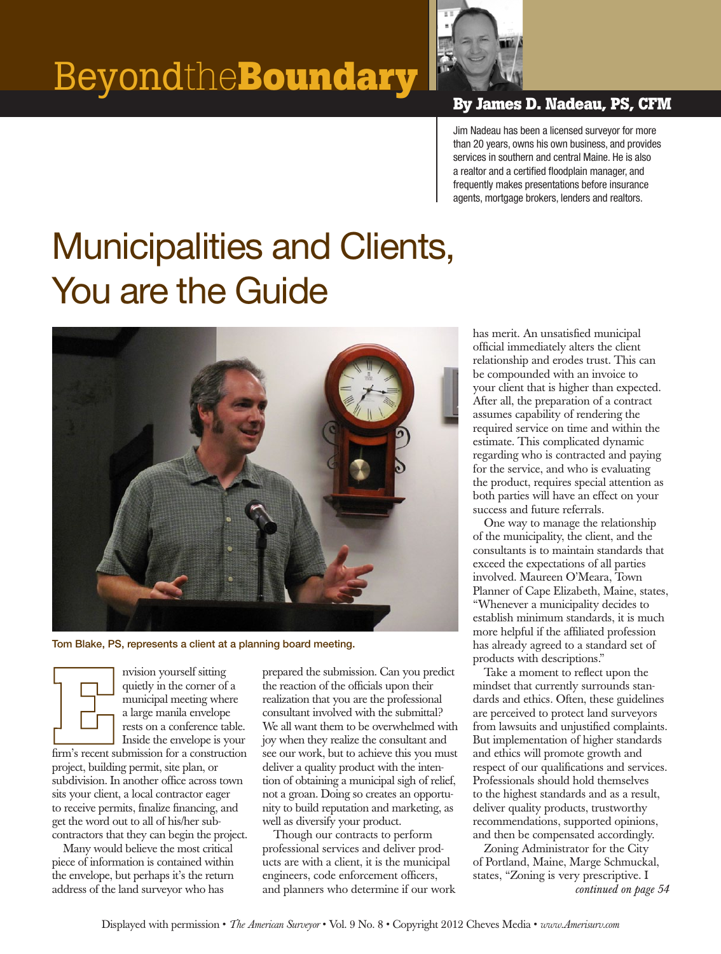

Jim Nadeau has been a licensed surveyor for more than 20 years, owns his own business, and provides services in southern and central Maine. He is also a realtor and a certified floodplain manager, and frequently makes presentations before insurance agents, mortgage brokers, lenders and realtors.

## Municipalities and Clients, You are the Guide



Tom Blake, PS, represents a client at a planning board meeting.

nvision yourself sitting quietly in the corner of a municipal meeting where a large manila envelope rests on a conference table. Inside the envelope is your firm's recent submission for a construction project, building permit, site plan, or subdivision. In another office across town sits your client, a local contractor eager to receive permits, finalize financing, and get the word out to all of his/her subcontractors that they can begin the project.

Many would believe the most critical piece of information is contained within the envelope, but perhaps it's the return address of the land surveyor who has

prepared the submission. Can you predict the reaction of the officials upon their realization that you are the professional consultant involved with the submittal? We all want them to be overwhelmed with joy when they realize the consultant and see our work, but to achieve this you must deliver a quality product with the intention of obtaining a municipal sigh of relief, not a groan. Doing so creates an opportunity to build reputation and marketing, as well as diversify your product.

Though our contracts to perform professional services and deliver products are with a client, it is the municipal engineers, code enforcement officers, and planners who determine if our work has merit. An unsatisfied municipal official immediately alters the client relationship and erodes trust. This can be compounded with an invoice to your client that is higher than expected. After all, the preparation of a contract assumes capability of rendering the required service on time and within the estimate. This complicated dynamic regarding who is contracted and paying for the service, and who is evaluating the product, requires special attention as both parties will have an effect on your success and future referrals.

One way to manage the relationship of the municipality, the client, and the consultants is to maintain standards that exceed the expectations of all parties involved. Maureen O'Meara, Town Planner of Cape Elizabeth, Maine, states, "Whenever a municipality decides to establish minimum standards, it is much more helpful if the affiliated profession has already agreed to a standard set of products with descriptions."

Take a moment to reflect upon the mindset that currently surrounds standards and ethics. Often, these guidelines are perceived to protect land surveyors from lawsuits and unjustified complaints. But implementation of higher standards and ethics will promote growth and respect of our qualifications and services. Professionals should hold themselves to the highest standards and as a result, deliver quality products, trustworthy recommendations, supported opinions, and then be compensated accordingly.

Zoning Administrator for the City of Portland, Maine, Marge Schmuckal, states, "Zoning is very prescriptive. I *continued on page 54*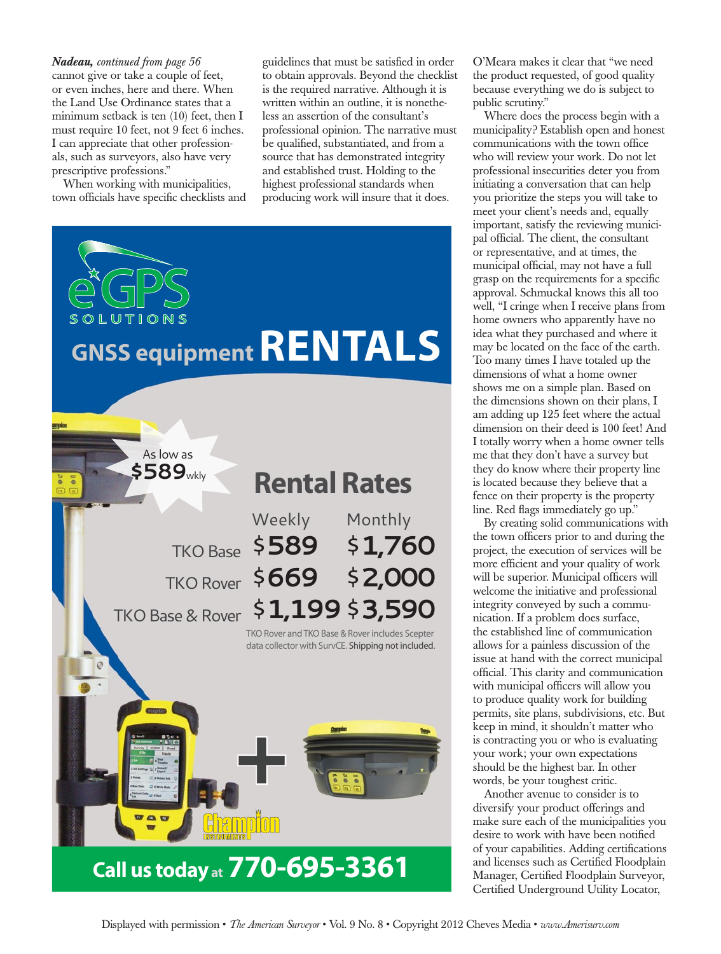cannot give or take a couple of feet, or even inches, here and there. When the Land Use Ordinance states that a minimum setback is ten (10) feet, then I must require 10 feet, not 9 feet 6 inches. I can appreciate that other professionals, such as surveyors, also have very prescriptive professions." *Nadeau, continued from page 56*

When working with municipalities, town officials have specific checklists and

guidelines that must be satisfied in order to obtain approvals. Beyond the checklist is the required narrative. Although it is written within an outline, it is nonetheless an assertion of the consultant's professional opinion. The narrative must be qualified, substantiated, and from a source that has demonstrated integrity and established trust. Holding to the highest professional standards when producing work will insure that it does.



O'Meara makes it clear that "we need the product requested, of good quality because everything we do is subject to public scrutiny."

Where does the process begin with a municipality? Establish open and honest communications with the town office who will review your work. Do not let professional insecurities deter you from initiating a conversation that can help you prioritize the steps you will take to meet your client's needs and, equally important, satisfy the reviewing municipal official. The client, the consultant or representative, and at times, the municipal official, may not have a full grasp on the requirements for a specific approval. Schmuckal knows this all too well, "I cringe when I receive plans from home owners who apparently have no idea what they purchased and where it may be located on the face of the earth. Too many times I have totaled up the dimensions of what a home owner shows me on a simple plan. Based on the dimensions shown on their plans, I am adding up 125 feet where the actual dimension on their deed is 100 feet! And I totally worry when a home owner tells me that they don't have a survey but they do know where their property line is located because they believe that a fence on their property is the property line. Red flags immediately go up."

By creating solid communications with the town officers prior to and during the project, the execution of services will be more efficient and your quality of work will be superior. Municipal officers will welcome the initiative and professional integrity conveyed by such a communication. If a problem does surface, the established line of communication allows for a painless discussion of the issue at hand with the correct municipal official. This clarity and communication with municipal officers will allow you to produce quality work for building permits, site plans, subdivisions, etc. But keep in mind, it shouldn't matter who is contracting you or who is evaluating your work; your own expectations should be the highest bar. In other words, be your toughest critic.

Another avenue to consider is to diversify your product offerings and make sure each of the municipalities you desire to work with have been notified of your capabilities. Adding certifications and licenses such as Certified Floodplain Manager, Certified Floodplain Surveyor, Certified Underground Utility Locator,